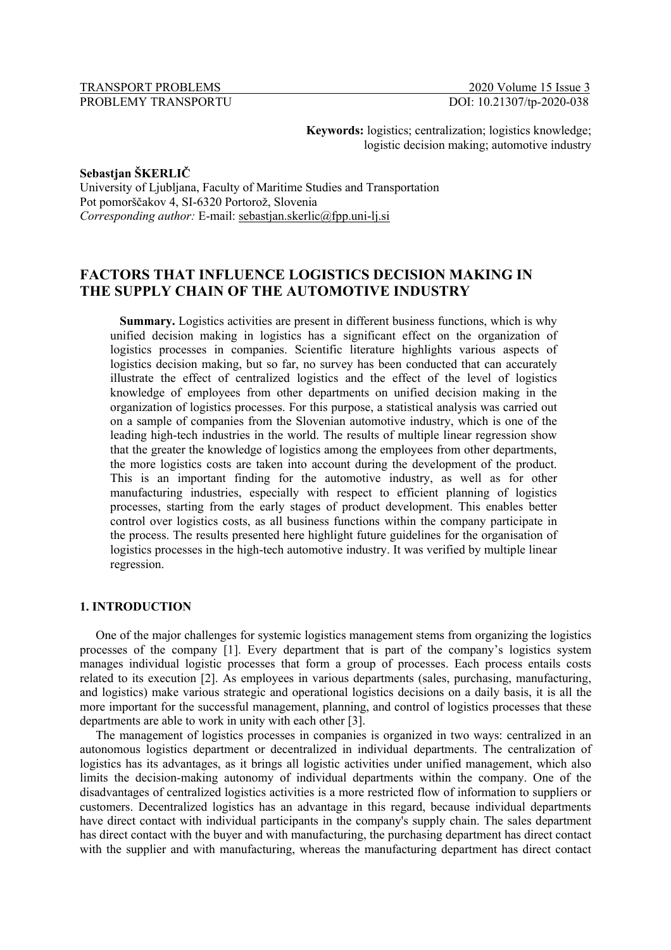TRANSPORT PROBLEMS 2020 Volume 15 Issue 3 PROBLEMY TRANSPORTU DOI: 10.21307/tp-2020-038

**Keywords:** logistics; centralization; logistics knowledge; logistic decision making; automotive industry

**Sebastjan ŠKERLIČ**

University of Ljubljana, Faculty of Maritime Studies and Transportation Pot pomorščakov 4, SI-6320 Portorož, Slovenia *Corresponding author:* E-mail: sebastjan.skerlic@fpp.uni-lj.si

# **FACTORS THAT INFLUENCE LOGISTICS DECISION MAKING IN THE SUPPLY CHAIN OF THE AUTOMOTIVE INDUSTRY**

**Summary.** Logistics activities are present in different business functions, which is why unified decision making in logistics has a significant effect on the organization of logistics processes in companies. Scientific literature highlights various aspects of logistics decision making, but so far, no survey has been conducted that can accurately illustrate the effect of centralized logistics and the effect of the level of logistics knowledge of employees from other departments on unified decision making in the organization of logistics processes. For this purpose, a statistical analysis was carried out on a sample of companies from the Slovenian automotive industry, which is one of the leading high-tech industries in the world. The results of multiple linear regression show that the greater the knowledge of logistics among the employees from other departments, the more logistics costs are taken into account during the development of the product. This is an important finding for the automotive industry, as well as for other manufacturing industries, especially with respect to efficient planning of logistics processes, starting from the early stages of product development. This enables better control over logistics costs, as all business functions within the company participate in the process. The results presented here highlight future guidelines for the organisation of logistics processes in the high-tech automotive industry. It was verified by multiple linear regression.

## **1. INTRODUCTION**

One of the major challenges for systemic logistics management stems from organizing the logistics processes of the company [1]. Every department that is part of the company's logistics system manages individual logistic processes that form a group of processes. Each process entails costs related to its execution [2]. As employees in various departments (sales, purchasing, manufacturing, and logistics) make various strategic and operational logistics decisions on a daily basis, it is all the more important for the successful management, planning, and control of logistics processes that these departments are able to work in unity with each other [3].

The management of logistics processes in companies is organized in two ways: centralized in an autonomous logistics department or decentralized in individual departments. The centralization of logistics has its advantages, as it brings all logistic activities under unified management, which also limits the decision-making autonomy of individual departments within the company. One of the disadvantages of centralized logistics activities is a more restricted flow of information to suppliers or customers. Decentralized logistics has an advantage in this regard, because individual departments have direct contact with individual participants in the company's supply chain. The sales department has direct contact with the buyer and with manufacturing, the purchasing department has direct contact with the supplier and with manufacturing, whereas the manufacturing department has direct contact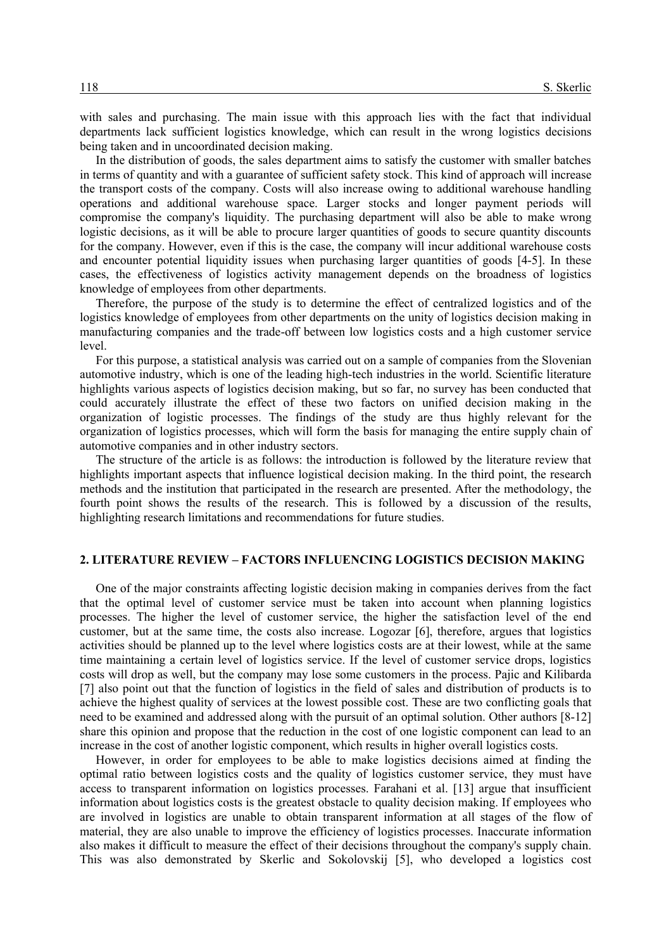with sales and purchasing. The main issue with this approach lies with the fact that individual departments lack sufficient logistics knowledge, which can result in the wrong logistics decisions being taken and in uncoordinated decision making.

In the distribution of goods, the sales department aims to satisfy the customer with smaller batches in terms of quantity and with a guarantee of sufficient safety stock. This kind of approach will increase the transport costs of the company. Costs will also increase owing to additional warehouse handling operations and additional warehouse space. Larger stocks and longer payment periods will compromise the company's liquidity. The purchasing department will also be able to make wrong logistic decisions, as it will be able to procure larger quantities of goods to secure quantity discounts for the company. However, even if this is the case, the company will incur additional warehouse costs and encounter potential liquidity issues when purchasing larger quantities of goods [4-5]. In these cases, the effectiveness of logistics activity management depends on the broadness of logistics knowledge of employees from other departments.

Therefore, the purpose of the study is to determine the effect of centralized logistics and of the logistics knowledge of employees from other departments on the unity of logistics decision making in manufacturing companies and the trade-off between low logistics costs and a high customer service level.

For this purpose, a statistical analysis was carried out on a sample of companies from the Slovenian automotive industry, which is one of the leading high-tech industries in the world. Scientific literature highlights various aspects of logistics decision making, but so far, no survey has been conducted that could accurately illustrate the effect of these two factors on unified decision making in the organization of logistic processes. The findings of the study are thus highly relevant for the organization of logistics processes, which will form the basis for managing the entire supply chain of automotive companies and in other industry sectors.

The structure of the article is as follows: the introduction is followed by the literature review that highlights important aspects that influence logistical decision making. In the third point, the research methods and the institution that participated in the research are presented. After the methodology, the fourth point shows the results of the research. This is followed by a discussion of the results, highlighting research limitations and recommendations for future studies.

### **2. LITERATURE REVIEW – FACTORS INFLUENCING LOGISTICS DECISION MAKING**

One of the major constraints affecting logistic decision making in companies derives from the fact that the optimal level of customer service must be taken into account when planning logistics processes. The higher the level of customer service, the higher the satisfaction level of the end customer, but at the same time, the costs also increase. Logozar [6], therefore, argues that logistics activities should be planned up to the level where logistics costs are at their lowest, while at the same time maintaining a certain level of logistics service. If the level of customer service drops, logistics costs will drop as well, but the company may lose some customers in the process. Pajic and Kilibarda [7] also point out that the function of logistics in the field of sales and distribution of products is to achieve the highest quality of services at the lowest possible cost. These are two conflicting goals that need to be examined and addressed along with the pursuit of an optimal solution. Other authors [8-12] share this opinion and propose that the reduction in the cost of one logistic component can lead to an increase in the cost of another logistic component, which results in higher overall logistics costs.

However, in order for employees to be able to make logistics decisions aimed at finding the optimal ratio between logistics costs and the quality of logistics customer service, they must have access to transparent information on logistics processes. Farahani et al. [13] argue that insufficient information about logistics costs is the greatest obstacle to quality decision making. If employees who are involved in logistics are unable to obtain transparent information at all stages of the flow of material, they are also unable to improve the efficiency of logistics processes. Inaccurate information also makes it difficult to measure the effect of their decisions throughout the company's supply chain. This was also demonstrated by Skerlic and Sokolovskij [5], who developed a logistics cost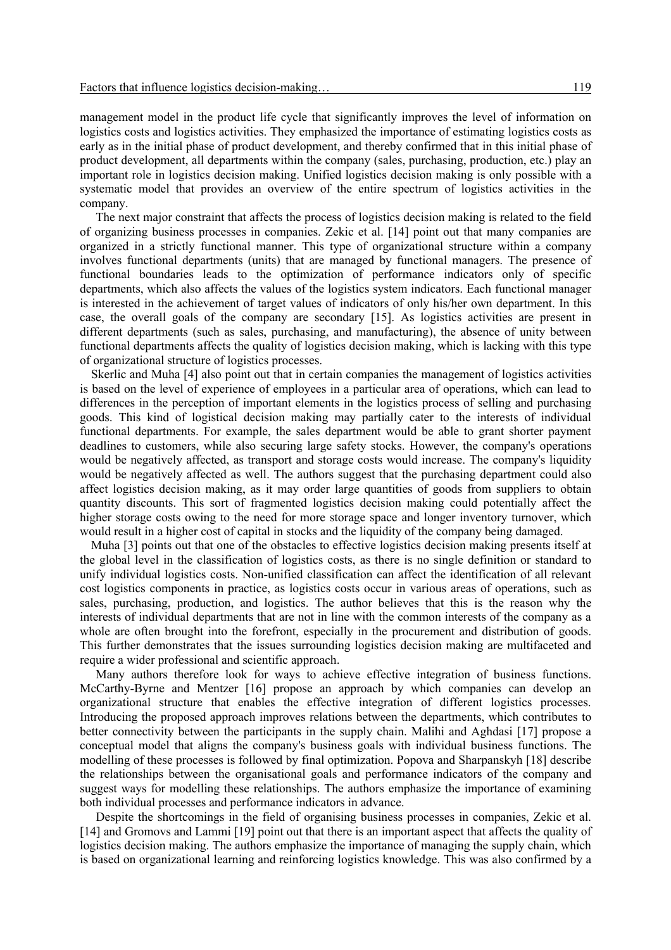management model in the product life cycle that significantly improves the level of information on logistics costs and logistics activities. They emphasized the importance of estimating logistics costs as early as in the initial phase of product development, and thereby confirmed that in this initial phase of product development, all departments within the company (sales, purchasing, production, etc.) play an important role in logistics decision making. Unified logistics decision making is only possible with a systematic model that provides an overview of the entire spectrum of logistics activities in the company.

The next major constraint that affects the process of logistics decision making is related to the field of organizing business processes in companies. Zekic et al. [14] point out that many companies are organized in a strictly functional manner. This type of organizational structure within a company involves functional departments (units) that are managed by functional managers. The presence of functional boundaries leads to the optimization of performance indicators only of specific departments, which also affects the values of the logistics system indicators. Each functional manager is interested in the achievement of target values of indicators of only his/her own department. In this case, the overall goals of the company are secondary [15]. As logistics activities are present in different departments (such as sales, purchasing, and manufacturing), the absence of unity between functional departments affects the quality of logistics decision making, which is lacking with this type of organizational structure of logistics processes.

Skerlic and Muha [4] also point out that in certain companies the management of logistics activities is based on the level of experience of employees in a particular area of operations, which can lead to differences in the perception of important elements in the logistics process of selling and purchasing goods. This kind of logistical decision making may partially cater to the interests of individual functional departments. For example, the sales department would be able to grant shorter payment deadlines to customers, while also securing large safety stocks. However, the company's operations would be negatively affected, as transport and storage costs would increase. The company's liquidity would be negatively affected as well. The authors suggest that the purchasing department could also affect logistics decision making, as it may order large quantities of goods from suppliers to obtain quantity discounts. This sort of fragmented logistics decision making could potentially affect the higher storage costs owing to the need for more storage space and longer inventory turnover, which would result in a higher cost of capital in stocks and the liquidity of the company being damaged.

Muha [3] points out that one of the obstacles to effective logistics decision making presents itself at the global level in the classification of logistics costs, as there is no single definition or standard to unify individual logistics costs. Non-unified classification can affect the identification of all relevant cost logistics components in practice, as logistics costs occur in various areas of operations, such as sales, purchasing, production, and logistics. The author believes that this is the reason why the interests of individual departments that are not in line with the common interests of the company as a whole are often brought into the forefront, especially in the procurement and distribution of goods. This further demonstrates that the issues surrounding logistics decision making are multifaceted and require a wider professional and scientific approach.

Many authors therefore look for ways to achieve effective integration of business functions. McCarthy-Byrne and Mentzer [16] propose an approach by which companies can develop an organizational structure that enables the effective integration of different logistics processes. Introducing the proposed approach improves relations between the departments, which contributes to better connectivity between the participants in the supply chain. Malihi and Aghdasi [17] propose a conceptual model that aligns the company's business goals with individual business functions. The modelling of these processes is followed by final optimization. Popova and Sharpanskyh [18] describe the relationships between the organisational goals and performance indicators of the company and suggest ways for modelling these relationships. The authors emphasize the importance of examining both individual processes and performance indicators in advance.

Despite the shortcomings in the field of organising business processes in companies, Zekic et al. [14] and Gromovs and Lammi [19] point out that there is an important aspect that affects the quality of logistics decision making. The authors emphasize the importance of managing the supply chain, which is based on organizational learning and reinforcing logistics knowledge. This was also confirmed by a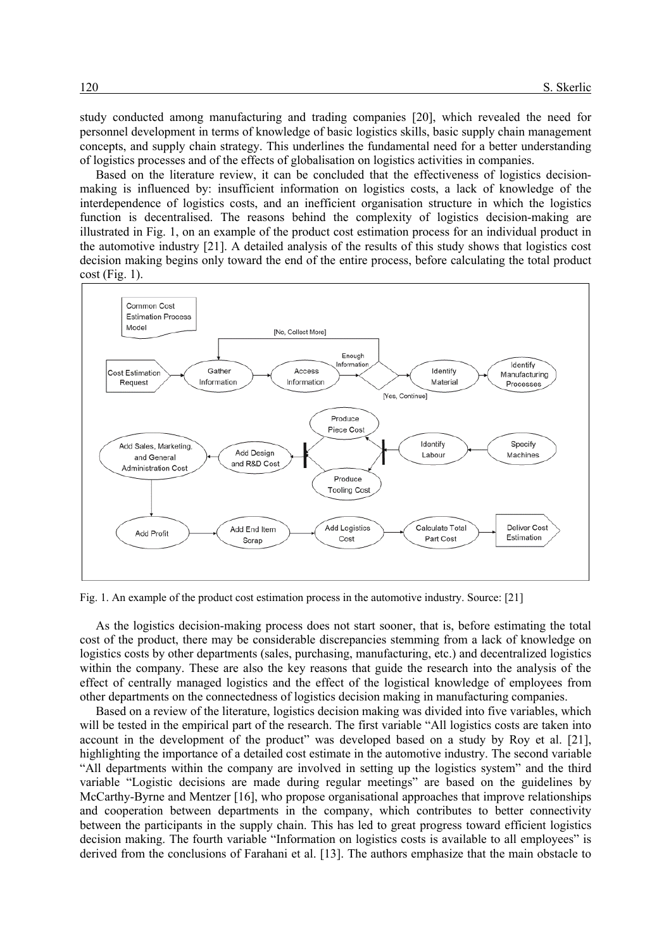study conducted among manufacturing and trading companies [20], which revealed the need for personnel development in terms of knowledge of basic logistics skills, basic supply chain management concepts, and supply chain strategy. This underlines the fundamental need for a better understanding of logistics processes and of the effects of globalisation on logistics activities in companies.

Based on the literature review, it can be concluded that the effectiveness of logistics decisionmaking is influenced by: insufficient information on logistics costs, a lack of knowledge of the interdependence of logistics costs, and an inefficient organisation structure in which the logistics function is decentralised. The reasons behind the complexity of logistics decision-making are illustrated in Fig. 1, on an example of the product cost estimation process for an individual product in the automotive industry [21]. A detailed analysis of the results of this study shows that logistics cost decision making begins only toward the end of the entire process, before calculating the total product  $cost$  (Fig. 1).



Fig. 1. An example of the product cost estimation process in the automotive industry. Source: [21]

As the logistics decision-making process does not start sooner, that is, before estimating the total cost of the product, there may be considerable discrepancies stemming from a lack of knowledge on logistics costs by other departments (sales, purchasing, manufacturing, etc.) and decentralized logistics within the company. These are also the key reasons that guide the research into the analysis of the effect of centrally managed logistics and the effect of the logistical knowledge of employees from other departments on the connectedness of logistics decision making in manufacturing companies.

Based on a review of the literature, logistics decision making was divided into five variables, which will be tested in the empirical part of the research. The first variable "All logistics costs are taken into account in the development of the product" was developed based on a study by Roy et al. [21], highlighting the importance of a detailed cost estimate in the automotive industry. The second variable "All departments within the company are involved in setting up the logistics system" and the third variable "Logistic decisions are made during regular meetings" are based on the guidelines by McCarthy-Byrne and Mentzer [16], who propose organisational approaches that improve relationships and cooperation between departments in the company, which contributes to better connectivity between the participants in the supply chain. This has led to great progress toward efficient logistics decision making. The fourth variable "Information on logistics costs is available to all employees" is derived from the conclusions of Farahani et al. [13]. The authors emphasize that the main obstacle to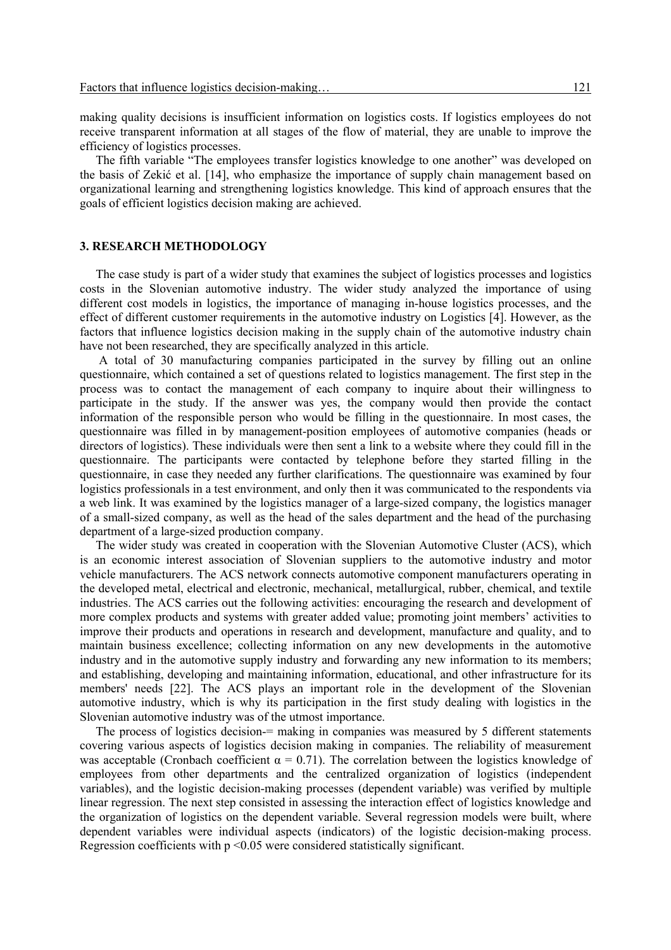making quality decisions is insufficient information on logistics costs. If logistics employees do not receive transparent information at all stages of the flow of material, they are unable to improve the efficiency of logistics processes.

The fifth variable "The employees transfer logistics knowledge to one another" was developed on the basis of Zekić et al. [14], who emphasize the importance of supply chain management based on organizational learning and strengthening logistics knowledge. This kind of approach ensures that the goals of efficient logistics decision making are achieved.

#### **3. RESEARCH METHODOLOGY**

The case study is part of a wider study that examines the subject of logistics processes and logistics costs in the Slovenian automotive industry. The wider study analyzed the importance of using different cost models in logistics, the importance of managing in-house logistics processes, and the effect of different customer requirements in the automotive industry on Logistics [4]. However, as the factors that influence logistics decision making in the supply chain of the automotive industry chain have not been researched, they are specifically analyzed in this article.

A total of 30 manufacturing companies participated in the survey by filling out an online questionnaire, which contained a set of questions related to logistics management. The first step in the process was to contact the management of each company to inquire about their willingness to participate in the study. If the answer was yes, the company would then provide the contact information of the responsible person who would be filling in the questionnaire. In most cases, the questionnaire was filled in by management-position employees of automotive companies (heads or directors of logistics). These individuals were then sent a link to a website where they could fill in the questionnaire. The participants were contacted by telephone before they started filling in the questionnaire, in case they needed any further clarifications. The questionnaire was examined by four logistics professionals in a test environment, and only then it was communicated to the respondents via a web link. It was examined by the logistics manager of a large-sized company, the logistics manager of a small-sized company, as well as the head of the sales department and the head of the purchasing department of a large-sized production company.

The wider study was created in cooperation with the Slovenian Automotive Cluster (ACS), which is an economic interest association of Slovenian suppliers to the automotive industry and motor vehicle manufacturers. The ACS network connects automotive component manufacturers operating in the developed metal, electrical and electronic, mechanical, metallurgical, rubber, chemical, and textile industries. The ACS carries out the following activities: encouraging the research and development of more complex products and systems with greater added value; promoting joint members' activities to improve their products and operations in research and development, manufacture and quality, and to maintain business excellence; collecting information on any new developments in the automotive industry and in the automotive supply industry and forwarding any new information to its members; and establishing, developing and maintaining information, educational, and other infrastructure for its members' needs [22]. The ACS plays an important role in the development of the Slovenian automotive industry, which is why its participation in the first study dealing with logistics in the Slovenian automotive industry was of the utmost importance.

The process of logistics decision-= making in companies was measured by 5 different statements covering various aspects of logistics decision making in companies. The reliability of measurement was acceptable (Cronbach coefficient  $\alpha = 0.71$ ). The correlation between the logistics knowledge of employees from other departments and the centralized organization of logistics (independent variables), and the logistic decision-making processes (dependent variable) was verified by multiple linear regression. The next step consisted in assessing the interaction effect of logistics knowledge and the organization of logistics on the dependent variable. Several regression models were built, where dependent variables were individual aspects (indicators) of the logistic decision-making process. Regression coefficients with p <0.05 were considered statistically significant.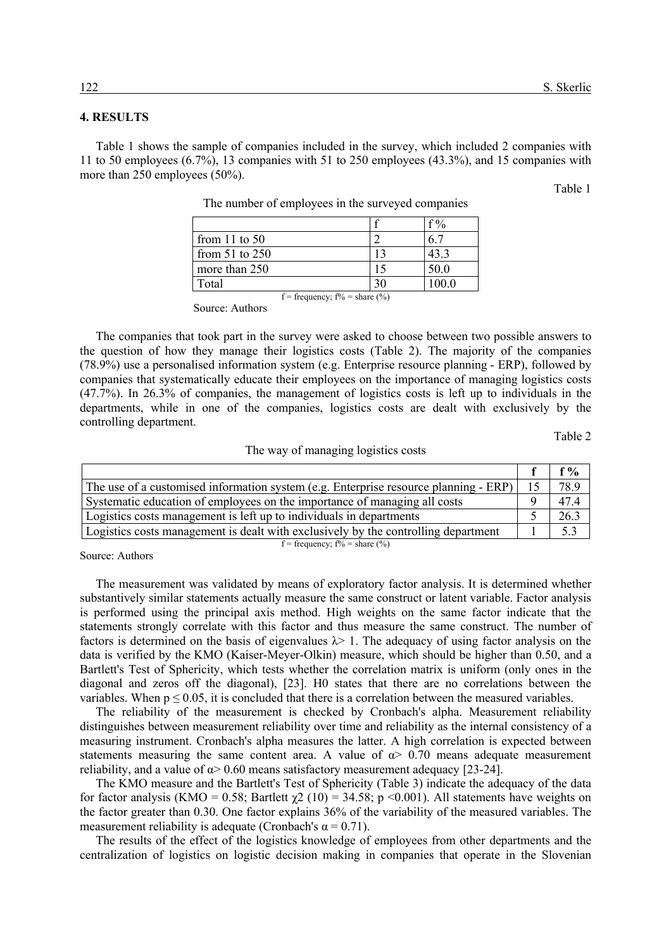## **4. RESULTS**

Table 1 shows the sample of companies included in the survey, which included 2 companies with 11 to 50 employees (6.7%), 13 companies with 51 to 250 employees (43.3%), and 15 companies with more than 250 employees (50%).

Table 1

|                                  |  | $f\%$ |  |
|----------------------------------|--|-------|--|
| from 11 to $50$                  |  |       |  |
| from $51$ to $250$               |  | 43.3  |  |
| more than 250                    |  | 50.0  |  |
| Total                            |  | 100.0 |  |
| f = frequency; $f\%$ = share (%) |  |       |  |

The number of employees in the surveyed companies

Source: Authors

The companies that took part in the survey were asked to choose between two possible answers to the question of how they manage their logistics costs (Table 2). The majority of the companies (78.9%) use a personalised information system (e.g. Enterprise resource planning - ERP), followed by companies that systematically educate their employees on the importance of managing logistics costs (47.7%). In 26.3% of companies, the management of logistics costs is left up to individuals in the departments, while in one of the companies, logistics costs are dealt with exclusively by the controlling department.

Table 2

### The way of managing logistics costs

|                                                                                      | f %  |
|--------------------------------------------------------------------------------------|------|
| The use of a customised information system (e.g. Enterprise resource planning - ERP) | 78.9 |
| Systematic education of employees on the importance of managing all costs            | 47.4 |
| Logistics costs management is left up to individuals in departments                  | 26.3 |
| Logistics costs management is dealt with exclusively by the controlling department   | 5.3  |
| $f = \text{frequency} \cdot f\% = \text{share} (%)$                                  |      |

Source: Authors

The measurement was validated by means of exploratory factor analysis. It is determined whether substantively similar statements actually measure the same construct or latent variable. Factor analysis is performed using the principal axis method. High weights on the same factor indicate that the statements strongly correlate with this factor and thus measure the same construct. The number of factors is determined on the basis of eigenvalues  $\lambda$  1. The adequacy of using factor analysis on the data is verified by the KMO (Kaiser-Meyer-Olkin) measure, which should be higher than 0.50, and a Bartlett's Test of Sphericity, which tests whether the correlation matrix is uniform (only ones in the diagonal and zeros off the diagonal), [23]. H0 states that there are no correlations between the variables. When  $p \le 0.05$ , it is concluded that there is a correlation between the measured variables.

The reliability of the measurement is checked by Cronbach's alpha. Measurement reliability distinguishes between measurement reliability over time and reliability as the internal consistency of a measuring instrument. Cronbach's alpha measures the latter. A high correlation is expected between statements measuring the same content area. A value of  $\alpha$  0.70 means adequate measurement reliability, and a value of  $\alpha$  > 0.60 means satisfactory measurement adequacy [23-24].

The KMO measure and the Bartlett's Test of Sphericity (Table 3) indicate the adequacy of the data for factor analysis (KMO = 0.58; Bartlett  $\gamma$ 2 (10) = 34.58; p <0.001). All statements have weights on the factor greater than 0.30. One factor explains 36% of the variability of the measured variables. The measurement reliability is adequate (Cronbach's  $\alpha = 0.71$ ).

The results of the effect of the logistics knowledge of employees from other departments and the centralization of logistics on logistic decision making in companies that operate in the Slovenian

f = frequency;  $f%$  = share  $(\%$ )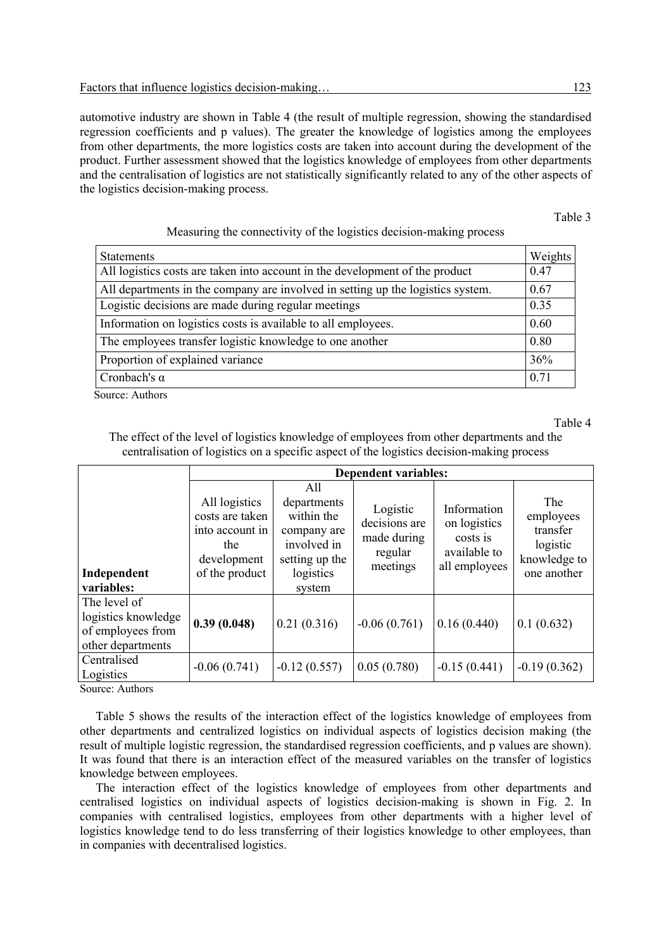automotive industry are shown in Table 4 (the result of multiple regression, showing the standardised regression coefficients and p values). The greater the knowledge of logistics among the employees from other departments, the more logistics costs are taken into account during the development of the product. Further assessment showed that the logistics knowledge of employees from other departments and the centralisation of logistics are not statistically significantly related to any of the other aspects of the logistics decision-making process.

#### Table 3

## Measuring the connectivity of the logistics decision-making process

| <b>Statements</b>                                                               | Weights |
|---------------------------------------------------------------------------------|---------|
| All logistics costs are taken into account in the development of the product    | 0.47    |
| All departments in the company are involved in setting up the logistics system. | 0.67    |
| Logistic decisions are made during regular meetings                             | 0.35    |
| Information on logistics costs is available to all employees.                   | 0.60    |
| The employees transfer logistic knowledge to one another                        | 0.80    |
| Proportion of explained variance                                                | 36%     |
| Cronbach's $\alpha$                                                             | 0.71    |

Source: Authors

Table 4

The effect of the level of logistics knowledge of employees from other departments and the centralisation of logistics on a specific aspect of the logistics decision-making process

|                                                                               | <b>Dependent variables:</b>                                                                 |                                                                                                         |                                                                 |                                                                          |                                                                         |
|-------------------------------------------------------------------------------|---------------------------------------------------------------------------------------------|---------------------------------------------------------------------------------------------------------|-----------------------------------------------------------------|--------------------------------------------------------------------------|-------------------------------------------------------------------------|
| Independent<br>variables:                                                     | All logistics<br>costs are taken<br>into account in<br>the<br>development<br>of the product | All<br>departments<br>within the<br>company are<br>involved in<br>setting up the<br>logistics<br>system | Logistic<br>decisions are<br>made during<br>regular<br>meetings | Information<br>on logistics<br>costs is<br>available to<br>all employees | The<br>employees<br>transfer<br>logistic<br>knowledge to<br>one another |
| The level of<br>logistics knowledge<br>of employees from<br>other departments | 0.39(0.048)                                                                                 | 0.21(0.316)                                                                                             | $-0.06(0.761)$                                                  | 0.16(0.440)                                                              | 0.1(0.632)                                                              |
| Centralised<br>Logistics                                                      | $-0.06(0.741)$                                                                              | $-0.12(0.557)$                                                                                          | 0.05(0.780)                                                     | $-0.15(0.441)$                                                           | $-0.19(0.362)$                                                          |

Source: Authors

Table 5 shows the results of the interaction effect of the logistics knowledge of employees from other departments and centralized logistics on individual aspects of logistics decision making (the result of multiple logistic regression, the standardised regression coefficients, and p values are shown). It was found that there is an interaction effect of the measured variables on the transfer of logistics knowledge between employees.

The interaction effect of the logistics knowledge of employees from other departments and centralised logistics on individual aspects of logistics decision-making is shown in Fig. 2. In companies with centralised logistics, employees from other departments with a higher level of logistics knowledge tend to do less transferring of their logistics knowledge to other employees, than in companies with decentralised logistics.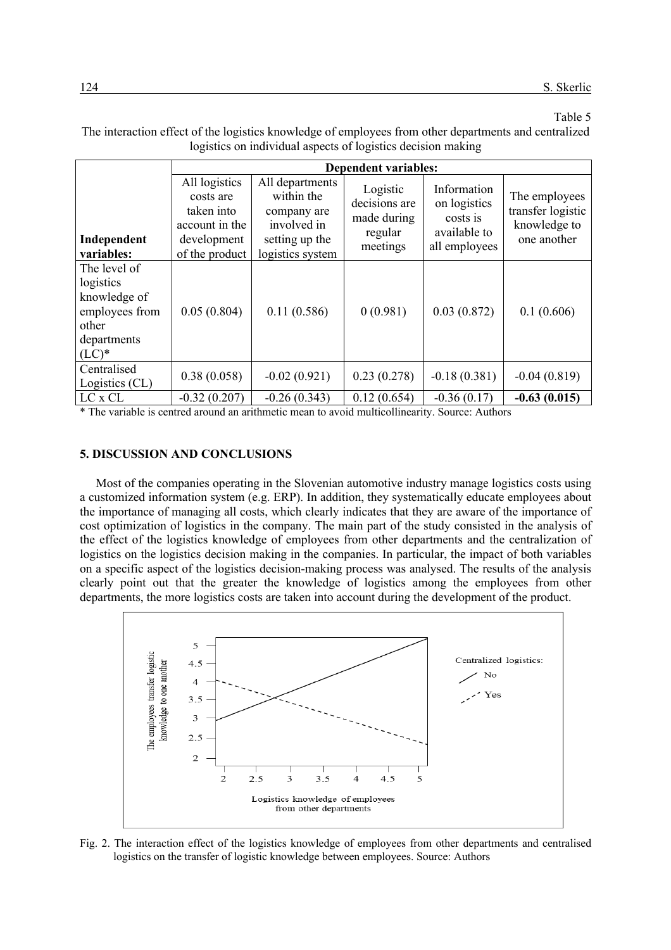# Table 5

The interaction effect of the logistics knowledge of employees from other departments and centralized logistics on individual aspects of logistics decision making

|                                                                                                 | <b>Dependent variables:</b>                                                                 |                                                                                                   |                                                                 |                                                                          |                                                                   |
|-------------------------------------------------------------------------------------------------|---------------------------------------------------------------------------------------------|---------------------------------------------------------------------------------------------------|-----------------------------------------------------------------|--------------------------------------------------------------------------|-------------------------------------------------------------------|
| Independent<br>variables:                                                                       | All logistics<br>costs are<br>taken into<br>account in the<br>development<br>of the product | All departments<br>within the<br>company are<br>involved in<br>setting up the<br>logistics system | Logistic<br>decisions are<br>made during<br>regular<br>meetings | Information<br>on logistics<br>costs is<br>available to<br>all employees | The employees<br>transfer logistic<br>knowledge to<br>one another |
| The level of<br>logistics<br>knowledge of<br>employees from<br>other<br>departments<br>$(LC)^*$ | 0.05(0.804)                                                                                 | 0.11(0.586)                                                                                       | 0(0.981)                                                        | 0.03(0.872)                                                              | 0.1(0.606)                                                        |
| Centralised<br>Logistics (CL)                                                                   | 0.38(0.058)                                                                                 | $-0.02(0.921)$                                                                                    | 0.23(0.278)                                                     | $-0.18(0.381)$                                                           | $-0.04(0.819)$                                                    |
| LC x CL                                                                                         | $-0.32(0.207)$                                                                              | $-0.26(0.343)$                                                                                    | 0.12(0.654)                                                     | $-0.36(0.17)$                                                            | $-0.63(0.015)$                                                    |

\* The variable is centred around an arithmetic mean to avoid multicollinearity. Source: Authors

### **5. DISCUSSION AND CONCLUSIONS**

Most of the companies operating in the Slovenian automotive industry manage logistics costs using a customized information system (e.g. ERP). In addition, they systematically educate employees about the importance of managing all costs, which clearly indicates that they are aware of the importance of cost optimization of logistics in the company. The main part of the study consisted in the analysis of the effect of the logistics knowledge of employees from other departments and the centralization of logistics on the logistics decision making in the companies. In particular, the impact of both variables on a specific aspect of the logistics decision-making process was analysed. The results of the analysis clearly point out that the greater the knowledge of logistics among the employees from other departments, the more logistics costs are taken into account during the development of the product.



Fig. 2. The interaction effect of the logistics knowledge of employees from other departments and centralised logistics on the transfer of logistic knowledge between employees. Source: Authors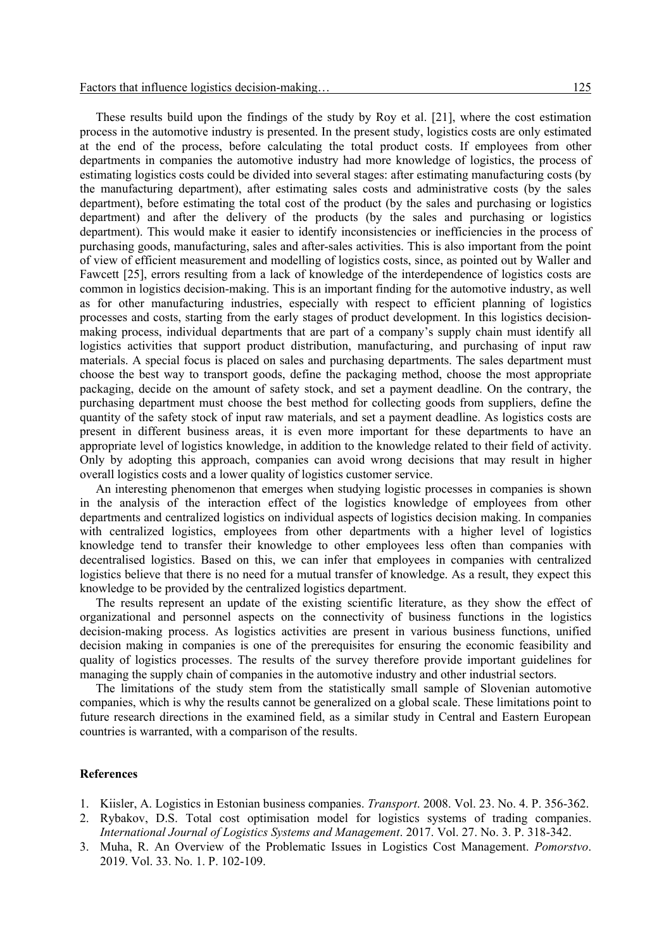These results build upon the findings of the study by Roy et al. [21], where the cost estimation process in the automotive industry is presented. In the present study, logistics costs are only estimated at the end of the process, before calculating the total product costs. If employees from other departments in companies the automotive industry had more knowledge of logistics, the process of estimating logistics costs could be divided into several stages: after estimating manufacturing costs (by the manufacturing department), after estimating sales costs and administrative costs (by the sales department), before estimating the total cost of the product (by the sales and purchasing or logistics department) and after the delivery of the products (by the sales and purchasing or logistics department). This would make it easier to identify inconsistencies or inefficiencies in the process of purchasing goods, manufacturing, sales and after-sales activities. This is also important from the point of view of efficient measurement and modelling of logistics costs, since, as pointed out by Waller and Fawcett [25], errors resulting from a lack of knowledge of the interdependence of logistics costs are common in logistics decision-making. This is an important finding for the automotive industry, as well as for other manufacturing industries, especially with respect to efficient planning of logistics processes and costs, starting from the early stages of product development. In this logistics decisionmaking process, individual departments that are part of a company's supply chain must identify all logistics activities that support product distribution, manufacturing, and purchasing of input raw materials. A special focus is placed on sales and purchasing departments. The sales department must choose the best way to transport goods, define the packaging method, choose the most appropriate packaging, decide on the amount of safety stock, and set a payment deadline. On the contrary, the purchasing department must choose the best method for collecting goods from suppliers, define the quantity of the safety stock of input raw materials, and set a payment deadline. As logistics costs are present in different business areas, it is even more important for these departments to have an appropriate level of logistics knowledge, in addition to the knowledge related to their field of activity. Only by adopting this approach, companies can avoid wrong decisions that may result in higher overall logistics costs and a lower quality of logistics customer service.

An interesting phenomenon that emerges when studying logistic processes in companies is shown in the analysis of the interaction effect of the logistics knowledge of employees from other departments and centralized logistics on individual aspects of logistics decision making. In companies with centralized logistics, employees from other departments with a higher level of logistics knowledge tend to transfer their knowledge to other employees less often than companies with decentralised logistics. Based on this, we can infer that employees in companies with centralized logistics believe that there is no need for a mutual transfer of knowledge. As a result, they expect this knowledge to be provided by the centralized logistics department.

The results represent an update of the existing scientific literature, as they show the effect of organizational and personnel aspects on the connectivity of business functions in the logistics decision-making process. As logistics activities are present in various business functions, unified decision making in companies is one of the prerequisites for ensuring the economic feasibility and quality of logistics processes. The results of the survey therefore provide important guidelines for managing the supply chain of companies in the automotive industry and other industrial sectors.

The limitations of the study stem from the statistically small sample of Slovenian automotive companies, which is why the results cannot be generalized on a global scale. These limitations point to future research directions in the examined field, as a similar study in Central and Eastern European countries is warranted, with a comparison of the results.

### **References**

- 1. Kiisler, A. Logistics in Estonian business companies. *Transport*. 2008. Vol. 23. No. 4. P. 356-362.
- 2. Rybakov, D.S. Total cost optimisation model for logistics systems of trading companies. *International Journal of Logistics Systems and Management*. 2017. Vol. 27. No. 3. P. 318-342.
- 3. Muha, R. An Overview of the Problematic Issues in Logistics Cost Management. *Pomorstvo*. 2019. Vol. 33. No. 1. P. 102-109.